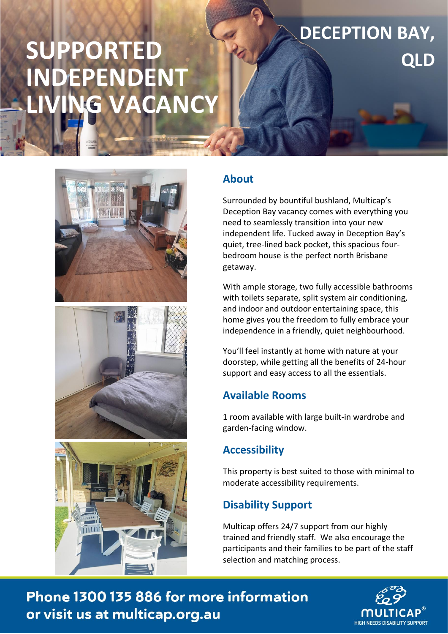# **SUPPORTED INDEPENDENT**  LG VACANCY







#### **About**

Surrounded by bountiful bushland, Multicap's Deception Bay vacancy comes with everything you need to seamlessly transition into your new independent life. Tucked away in Deception Bay's quiet, tree-lined back pocket, this spacious fourbedroom house is the perfect north Brisbane getaway.

**DECEPTION BAY,** 

**QLD**

With ample storage, two fully accessible bathrooms with toilets separate, split system air conditioning, and indoor and outdoor entertaining space, this home gives you the freedom to fully embrace your independence in a friendly, quiet neighbourhood.

You'll feel instantly at home with nature at your doorstep, while getting all the benefits of 24-hour support and easy access to all the essentials.

## **Available Rooms**

1 room available with large built-in wardrobe and garden-facing window.

## **Accessibility**

This property is best suited to those with minimal to moderate accessibility requirements.

## **Disability Support**

**Important Information**

Multicap offers 24/7 support from our highly trained and friendly staff. We also encourage the participants and their families to be part of the staff selection and matching process.

 $\mathcal{L}$ or visit us at multicap.org.au